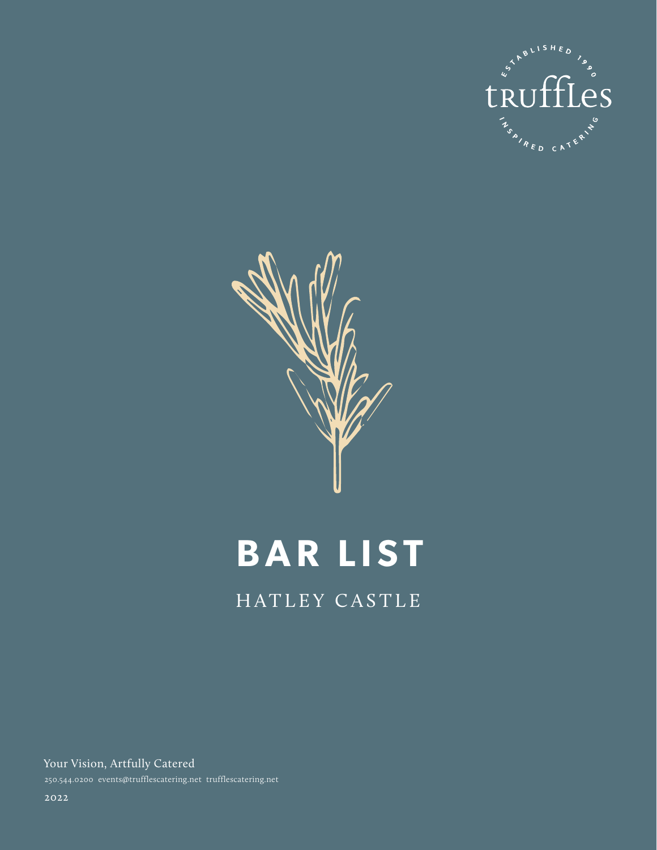



# **BAR LIST**

# HATLEY CASTLE

Your Vision, Artfully Catered 250.544.0200 events@trufflescatering.net trufflescatering.net

2022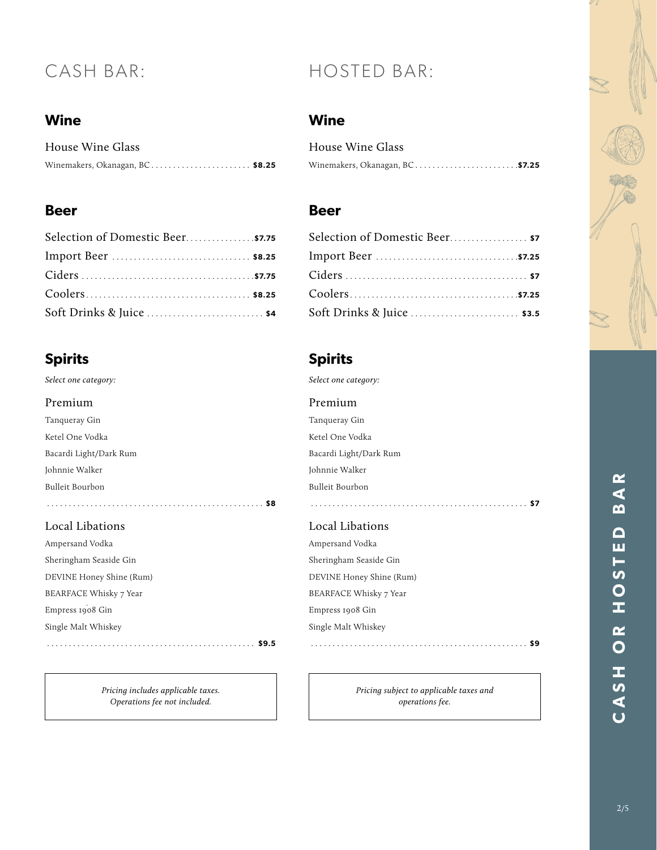# **Wine**

| House Wine Glass                  |  |
|-----------------------------------|--|
| Winemakers, Okanagan, $BC$ \$8.25 |  |

# **Beer**

| Selection of Domestic Beer \$7.75 |  |
|-----------------------------------|--|
|                                   |  |
|                                   |  |
|                                   |  |
| Soft Drinks & Juice  \$4          |  |

# **Spirits**

| Select one category:   |
|------------------------|
| Premium                |
| Tanqueray Gin          |
| Ketel One Vodka        |
| Bacardi Light/Dark Rum |
| Johnnie Walker         |
| Bulleit Bourbon        |
| \$8                    |

#### Local Libations

| Ampersand Vodka          |       |
|--------------------------|-------|
| Sheringham Seaside Gin   |       |
| DEVINE Honey Shine (Rum) |       |
| BEARFACE Whisky 7 Year   |       |
| Empress 1908 Gin         |       |
| Single Malt Whiskey      |       |
|                          | \$9.5 |

*Pricing includes applicable taxes. Operations fee not included.*

# CASH BAR: HOSTED BAR:

# **Wine**

| House Wine Glass               |  |
|--------------------------------|--|
| Winemakers, Okanagan, BC\$7.25 |  |

## **Beer**

| Selection of Domestic Beer \$7 |
|--------------------------------|
|                                |
|                                |
|                                |
|                                |

# **Spirits**

| Select one category:   |  |
|------------------------|--|
| Premium                |  |
| Tanqueray Gin          |  |
| Ketel One Vodka        |  |
| Bacardi Light/Dark Rum |  |
| Johnnie Walker         |  |
| Bulleit Bourbon        |  |
|                        |  |

#### Local Libations

| Ampersand Vodka          |  |
|--------------------------|--|
| Sheringham Seaside Gin   |  |
| DEVINE Honey Shine (Rum) |  |
| BEARFACE Whisky 7 Year   |  |
| Empress 1908 Gin         |  |
| Single Malt Whiskey      |  |
|                          |  |

*Pricing subject to applicable taxes and operations fee.*

# BAR 2/5**CASH OR HOSTED BAR** CASH OR HOSTED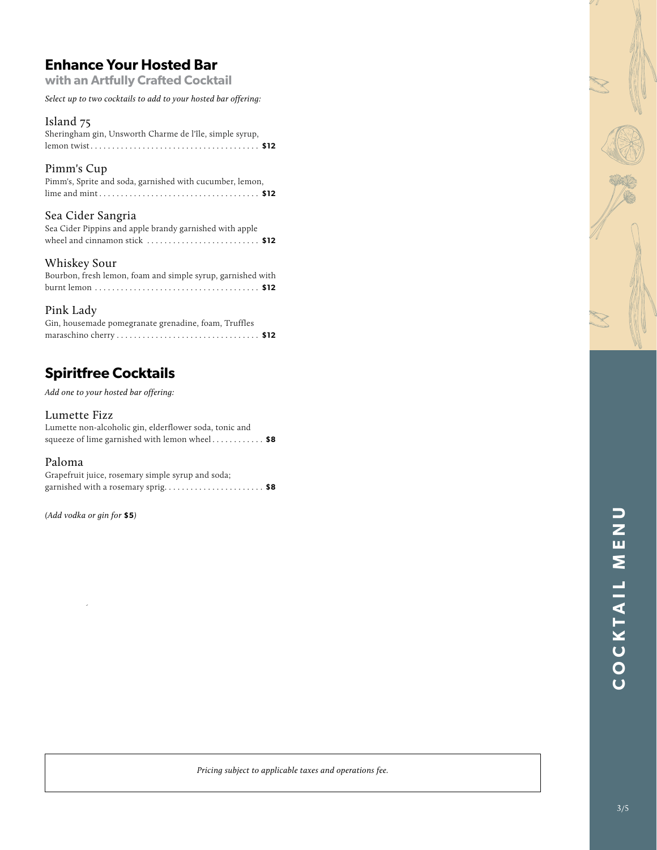# **Enhance Your Hosted Bar**

**with an Artfully Crafted Cocktail**

*Select up to two cocktails to add to your hosted bar offering:*

#### Island 75

| Sheringham gin, Unsworth Charme de l'île, simple syrup, |  |
|---------------------------------------------------------|--|
|                                                         |  |

#### Pimm's Cup

| Pimm's, Sprite and soda, garnished with cucumber, lemon, |
|----------------------------------------------------------|
|                                                          |

#### Sea Cider Sangria

| Sea Cider Pippins and apple brandy garnished with apple |  |
|---------------------------------------------------------|--|
|                                                         |  |

#### Whiskey Sour

| Bourbon, fresh lemon, foam and simple syrup, garnished with |  |  |
|-------------------------------------------------------------|--|--|
|                                                             |  |  |

#### Pink Lady

| Gin, housemade pomegranate grenadine, foam, Truffles |  |
|------------------------------------------------------|--|
|                                                      |  |

# **Spiritfree Cocktails**

*Add one to your hosted bar offering:*

#### Lumette Fizz

Lumette non-alcoholic gin, elderflower soda, tonic and squeeze of lime garnished with lemon wheel . . . . . . . . . . . . **\$8**

#### Paloma

Grapefruit juice, rosemary simple syrup and soda; garnished with a rosemary sprig . . . . . . . . . . . . . . . . . . . . . . . **\$8**

*(Add vodka or gin for* **\$5***)*

*Pricing subject to applicable taxes and operations fee.*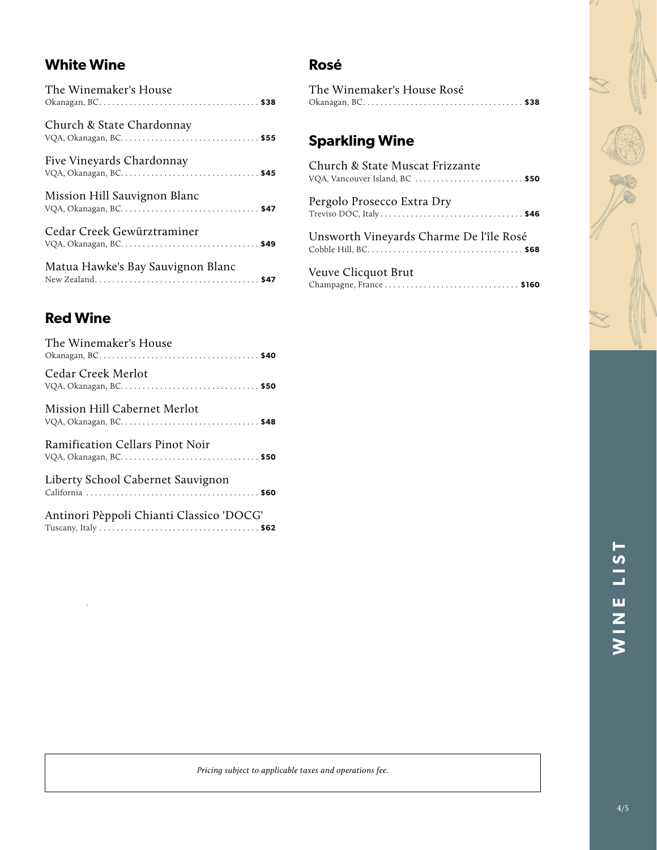# **White Wine**

| The Winemaker's House             |  |
|-----------------------------------|--|
| Church & State Chardonnay         |  |
| Five Vineyards Chardonnay         |  |
| Mission Hill Sauvignon Blanc      |  |
| Cedar Creek Gewürztraminer        |  |
| Matua Hawke's Bay Sauvignon Blanc |  |

# **Rosé**

| The Winemaker's House Rosé |  |
|----------------------------|--|
|                            |  |

# **Sparkling Wine**

| Church & State Muscat Frizzante<br>VQA, Vancouver Island, BC  \$50 |
|--------------------------------------------------------------------|
| Pergolo Prosecco Extra Dry                                         |
| Unsworth Vineyards Charme De l'île Rosé                            |
|                                                                    |

### Veuve Clicquot Brut Champagne, France . . . . . . . . . . . . . . . . . . . . . . . . . . . . . . . **\$160**

# **Red Wine**

| The Winemaker's House                    |
|------------------------------------------|
| Cedar Creek Merlot                       |
| Mission Hill Cabernet Merlot             |
| <b>Ramification Cellars Pinot Noir</b>   |
| Liberty School Cabernet Sauvignon        |
| Antinori Pèppoli Chianti Classico 'DOCG' |

*Pricing subject to applicable taxes and operations fee.*